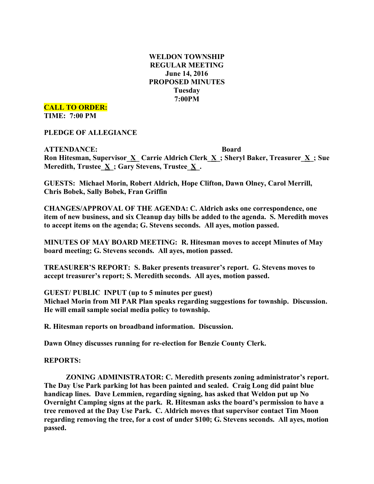## **WELDON TOWNSHIP REGULAR MEETING June 14, 2016 PROPOSED MINUTES Tuesday 7:00PM**

**CALL TO ORDER:**

**TIME: 7:00 PM**

**PLEDGE OF ALLEGIANCE**

**ATTENDANCE: Board Ron Hitesman, Supervisor\_X\_ Carrie Aldrich Clerk\_X\_; Sheryl Baker, Treasurer\_X\_; Sue Meredith, Trustee\_X\_; Gary Stevens, Trustee\_X\_.**

**GUESTS: Michael Morin, Robert Aldrich, Hope Clifton, Dawn Olney, Carol Merrill, Chris Bobek, Sally Bobek, Fran Griffin**

**CHANGES/APPROVAL OF THE AGENDA: C. Aldrich asks one correspondence, one item of new business, and six Cleanup day bills be added to the agenda. S. Meredith moves to accept items on the agenda; G. Stevens seconds. All ayes, motion passed.**

**MINUTES OF MAY BOARD MEETING: R. Hitesman moves to accept Minutes of May board meeting; G. Stevens seconds. All ayes, motion passed.**

**TREASURER'S REPORT: S. Baker presents treasurer's report. G. Stevens moves to accept treasurer's report; S. Meredith seconds. All ayes, motion passed.**

**GUEST/ PUBLIC INPUT (up to 5 minutes per guest)**

**Michael Morin from MI PAR Plan speaks regarding suggestions for township. Discussion. He will email sample social media policy to township.**

**R. Hitesman reports on broadband information. Discussion.**

**Dawn Olney discusses running for re-election for Benzie County Clerk.**

**REPORTS:**

**ZONING ADMINISTRATOR: C. Meredith presents zoning administrator's report. The Day Use Park parking lot has been painted and sealed. Craig Long did paint blue handicap lines. Dave Lemmien, regarding signing, has asked that Weldon put up No Overnight Camping signs at the park. R. Hitesman asks the board's permission to have a tree removed at the Day Use Park. C. Aldrich moves that supervisor contact Tim Moon regarding removing the tree, for a cost of under \$100; G. Stevens seconds. All ayes, motion passed.**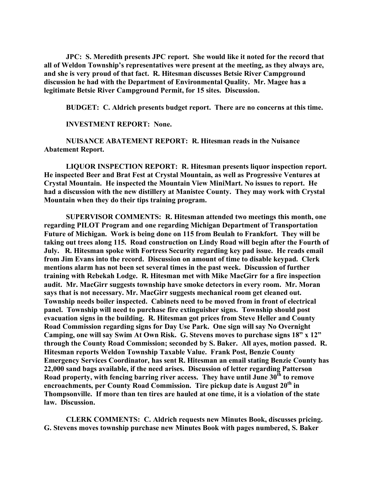**JPC: S. Meredith presents JPC report. She would like it noted for the record that all of Weldon Township's representatives were present at the meeting, as they always are, and she is very proud of that fact. R. Hitesman discusses Betsie River Campground discussion he had with the Department of Environmental Quality. Mr. Magee has a legitimate Betsie River Campground Permit, for 15 sites. Discussion.**

**BUDGET: C. Aldrich presents budget report. There are no concerns at this time.**

**INVESTMENT REPORT: None.**

**NUISANCE ABATEMENT REPORT: R. Hitesman reads in the Nuisance Abatement Report.**

**LIQUOR INSPECTION REPORT: R. Hitesman presents liquor inspection report. He inspected Beer and Brat Fest at Crystal Mountain, as well as Progressive Ventures at Crystal Mountain. He inspected the Mountain View MiniMart. No issues to report. He had a discussion with the new distillery at Manistee County. They may work with Crystal Mountain when they do their tips training program.**

**SUPERVISOR COMMENTS: R. Hitesman attended two meetings this month, one regarding PILOT Program and one regarding Michigan Department of Transportation Future of Michigan. Work is being done on 115 from Beulah to Frankfort. They will be taking out trees along 115. Road construction on Lindy Road will begin after the Fourth of July. R. Hitesman spoke with Fortress Security regarding key pad issue. He reads email from Jim Evans into the record. Discussion on amount of time to disable keypad. Clerk mentions alarm has not been set several times in the past week. Discussion of further training with Rebekah Lodge. R. Hitesman met with Mike MacGirr for a fire inspection audit. Mr. MacGirr suggests township have smoke detectors in every room. Mr. Moran says that is not necessary. Mr. MacGirr suggests mechanical room get cleaned out. Township needs boiler inspected. Cabinets need to be moved from in front of electrical panel. Township will need to purchase fire extinguisher signs. Township should post evacuation signs in the building. R. Hitesman got prices from Steve Heller and County Road Commission regarding signs for Day Use Park. One sign will say No Overnight Camping, one will say Swim At Own Risk. G. Stevens moves to purchase signs 18" x 12" through the County Road Commission; seconded by S. Baker. All ayes, motion passed. R. Hitesman reports Weldon Township Taxable Value. Frank Post, Benzie County Emergency Services Coordinator, has sent R. Hitesman an email stating Benzie County has 22,000 sand bags available, if the need arises. Discussion of letter regarding Patterson Road property, with fencing barring river access. They have until June 30th to remove encroachments, per County Road Commission. Tire pickup date is August 20th in Thompsonville. If more than ten tires are hauled at one time, it is a violation of the state law. Discussion.**

**CLERK COMMENTS: C. Aldrich requests new Minutes Book, discusses pricing. G. Stevens moves township purchase new Minutes Book with pages numbered, S. Baker**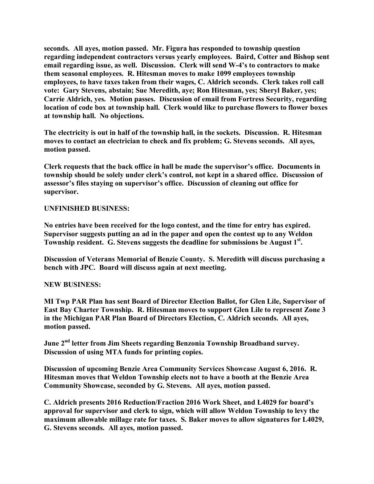**seconds. All ayes, motion passed. Mr. Figura has responded to township question regarding independent contractors versus yearly employees. Baird, Cotter and Bishop sent email regarding issue, as well. Discussion. Clerk will send W-4's to contractors to make them seasonal employees. R. Hitesman moves to make 1099 employees township employees, to have taxes taken from their wages, C. Aldrich seconds. Clerk takes roll call vote: Gary Stevens, abstain; Sue Meredith, aye; Ron Hitesman, yes; Sheryl Baker, yes; Carrie Aldrich, yes. Motion passes. Discussion of email from Fortress Security, regarding location of code box at township hall. Clerk would like to purchase flowers to flower boxes at township hall. No objections.**

**The electricity is out in half of the township hall, in the sockets. Discussion. R. Hitesman moves to contact an electrician to check and fix problem; G. Stevens seconds. All ayes, motion passed.**

**Clerk requests that the back office in hall be made the supervisor's office. Documents in township should be solely under clerk's control, not kept in a shared office. Discussion of assessor's files staying on supervisor's office. Discussion of cleaning out office for supervisor.**

## **UNFINISHED BUSINESS:**

**No entries have been received for the logo contest, and the time for entry has expired. Supervisor suggests putting an ad in the paper and open the contest up to any Weldon Township resident. G. Stevens suggests the deadline for submissions be August 1st .**

**Discussion of Veterans Memorial of Benzie County. S. Meredith will discuss purchasing a bench with JPC. Board will discuss again at next meeting.**

## **NEW BUSINESS:**

**MI Twp PAR Plan has sent Board of Director Election Ballot, for Glen Lile, Supervisor of East Bay Charter Township. R. Hitesman moves to support Glen Lile to represent Zone 3 in the Michigan PAR Plan Board of Directors Election, C. Aldrich seconds. All ayes, motion passed.**

**June 2nd letter from Jim Sheets regarding Benzonia Township Broadband survey. Discussion of using MTA funds for printing copies.**

**Discussion of upcoming Benzie Area Community Services Showcase August 6, 2016. R. Hitesman moves that Weldon Township elects not to have a booth at the Benzie Area Community Showcase, seconded by G. Stevens. All ayes, motion passed.**

**C. Aldrich presents 2016 Reduction/Fraction 2016 Work Sheet, and L4029 for board's approval for supervisor and clerk to sign, which will allow Weldon Township to levy the maximum allowable millage rate for taxes. S. Baker moves to allow signatures for L4029, G. Stevens seconds. All ayes, motion passed.**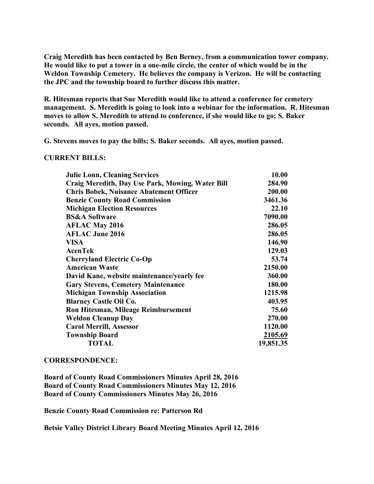**Craig Meredith has been contacted by Ben Berney, from a communication tower company. He would like to put a tower in a one-mile circle, the center of which would be in the Weldon Township Cemetery. He believes the company is Verizon. He will be contacting the JPC and the township board to further discuss this matter.**

**R. Hitesman reports that Sue Meredith would like to attend a conference for cemetery management. S. Meredith is going to look into a webinar for the information. R. Hitesman moves to allow S. Meredith to attend to conference, if she would like to go; S. Baker seconds. All ayes, motion passed.**

**G. Stevens moves to pay the bills; S. Baker seconds. All ayes, motion passed.**

**CURRENT BILLS:**

| <b>Julie Lonn, Cleaning Services</b>             | 10.00     |
|--------------------------------------------------|-----------|
| Craig Meredith, Day Use Park, Mowing, Water Bill | 284.90    |
| <b>Chris Bobek, Nuisance Abatement Officer</b>   | 200.00    |
| <b>Benzie County Road Commission</b>             | 3461.36   |
| <b>Michigan Election Resources</b>               | 22.10     |
| <b>BS&amp;A Software</b>                         | 7090.00   |
| <b>AFLAC May 2016</b>                            | 286.05    |
| <b>AFLAC June 2016</b>                           | 286.05    |
| <b>VISA</b>                                      | 146.90    |
| <b>AcenTek</b>                                   | 129.03    |
| <b>Cherryland Electric Co-Op</b>                 | 53.74     |
| <b>American Waste</b>                            | 2150.00   |
| David Kane, website maintenance/yearly fee       | 360.00    |
| <b>Gary Stevens, Cemetery Maintenance</b>        | 180.00    |
| <b>Michigan Township Association</b>             | 1215.98   |
| <b>Blarney Castle Oil Co.</b>                    | 403.95    |
| Ron Hitesman, Mileage Reimbursement              | 75.60     |
| <b>Weldon Cleanup Day</b>                        | 270.00    |
| <b>Carol Merrill, Assessor</b>                   | 1120.00   |
| <b>Township Board</b>                            | 2105.69   |
| <b>TOTAL</b>                                     | 19,851.35 |
|                                                  |           |

## **CORRESPONDENCE:**

**Board of County Road Commissioners Minutes April 28, 2016 Board of County Road Commissioners Minutes May 12, 2016 Board of County Commissioners Minutes May 26, 2016**

**Benzie County Road Commission re: Patterson Rd**

**Betsie Valley District Library Board Meeting Minutes April 12, 2016**